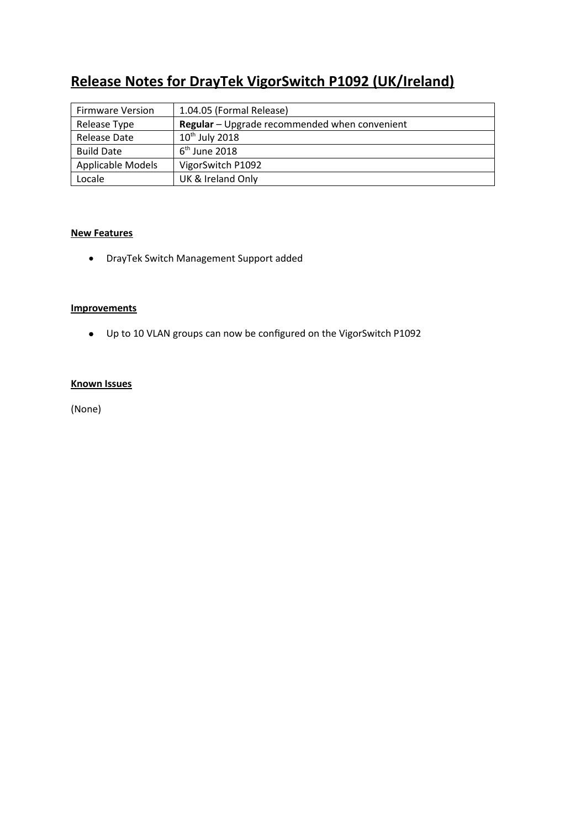# **Release Notes for DrayTek VigorSwitch P1092 (UK/Ireland)**

| <b>Firmware Version</b> | 1.04.05 (Formal Release)                      |
|-------------------------|-----------------------------------------------|
| Release Type            | Regular - Upgrade recommended when convenient |
| <b>Release Date</b>     | $10th$ July 2018                              |
| <b>Build Date</b>       | $6th$ June 2018                               |
| Applicable Models       | VigorSwitch P1092                             |
| Locale                  | UK & Ireland Only                             |

# **New Features**

DrayTek Switch Management Support added

#### **Improvements**

Up to 10 VLAN groups can now be configured on the VigorSwitch P1092

#### **Known Issues**

(None)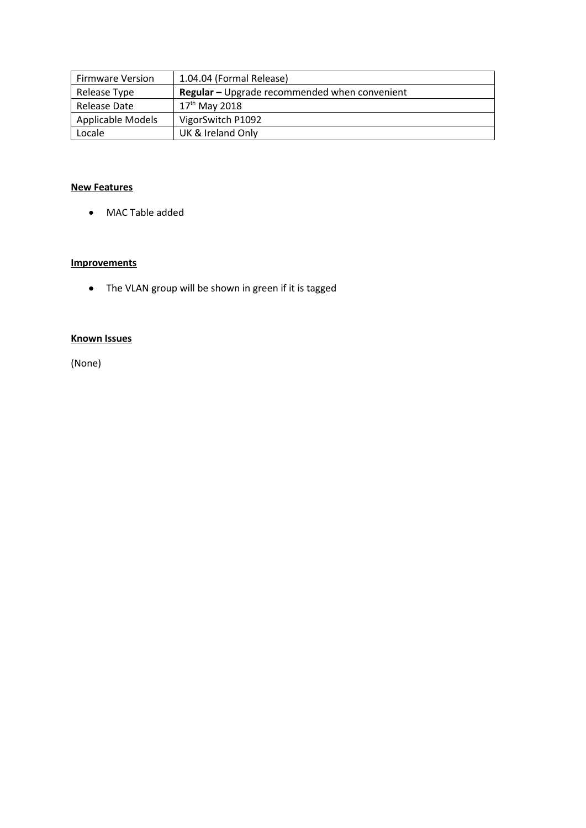| <b>Firmware Version</b>  | 1.04.04 (Formal Release)                      |
|--------------------------|-----------------------------------------------|
| Release Type             | Regular - Upgrade recommended when convenient |
| Release Date             | $17^{th}$ May 2018                            |
| <b>Applicable Models</b> | VigorSwitch P1092                             |
| Locale                   | UK & Ireland Only                             |

#### **New Features**

MAC Table added

#### **Improvements**

The VLAN group will be shown in green if it is tagged

#### **Known Issues**

(None)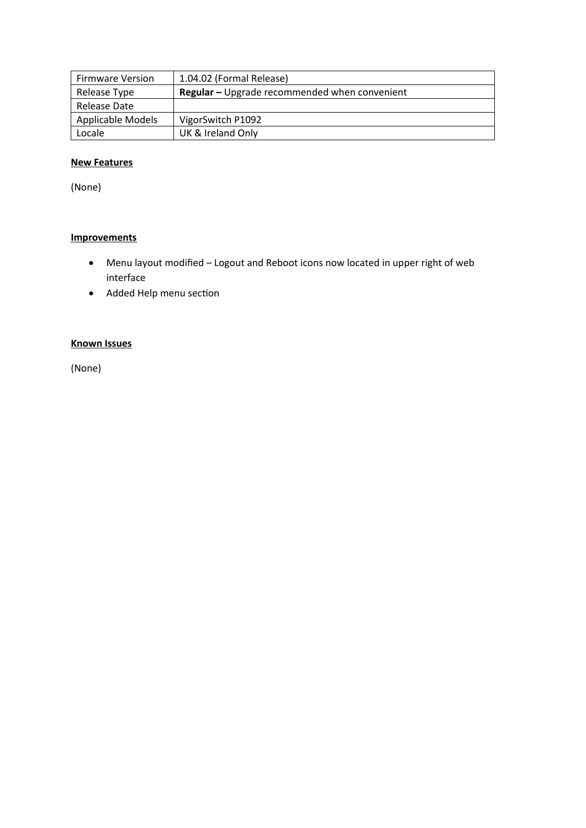| <b>Firmware Version</b> | 1.04.02 (Formal Release)                             |
|-------------------------|------------------------------------------------------|
| Release Type            | <b>Regular</b> – Upgrade recommended when convenient |
| Release Date            |                                                      |
| Applicable Models       | VigorSwitch P1092                                    |
| Locale                  | UK & Ireland Only                                    |

# **New Features**

(None)

# **Improvements**

- Menu layout modified Logout and Reboot icons now located in upper right of web interface
- Added Help menu section

# **Known Issues**

(None)